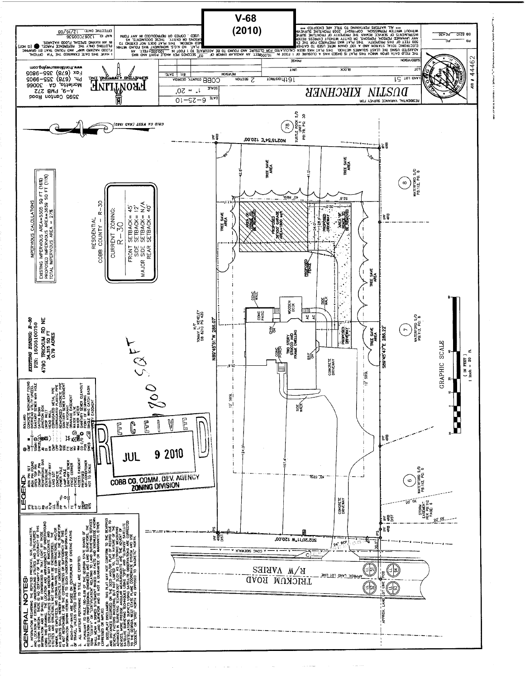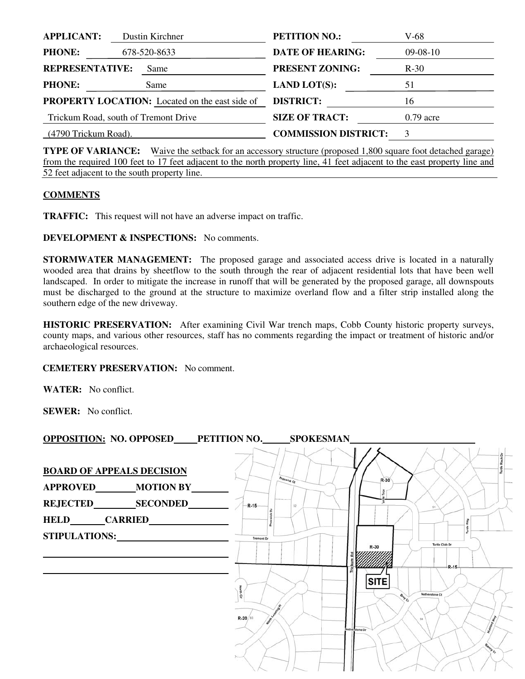| <b>APPLICANT:</b>             | Dustin Kirchner                                       | <b>PETITION NO.:</b>        | V-68        |
|-------------------------------|-------------------------------------------------------|-----------------------------|-------------|
| <b>PHONE:</b><br>678-520-8633 |                                                       | <b>DATE OF HEARING:</b>     | $09-08-10$  |
| <b>REPRESENTATIVE:</b>        | Same                                                  | <b>PRESENT ZONING:</b>      | $R-30$      |
| <b>PHONE:</b>                 | Same                                                  | <b>LAND LOT(S):</b>         | 51          |
|                               | <b>PROPERTY LOCATION:</b> Located on the east side of | <b>DISTRICT:</b>            | 16          |
|                               | Trickum Road, south of Tremont Drive                  | <b>SIZE OF TRACT:</b>       | $0.79$ acre |
| (4790 Trickum Road).          |                                                       | <b>COMMISSION DISTRICT:</b> | 3           |

**TYPE OF VARIANCE:** Waive the setback for an accessory structure (proposed 1,800 square foot detached garage) from the required 100 feet to 17 feet adjacent to the north property line, 41 feet adjacent to the east property line and 52 feet adjacent to the south property line.

## **COMMENTS**

**TRAFFIC:** This request will not have an adverse impact on traffic.

**DEVELOPMENT & INSPECTIONS:** No comments.

**STORMWATER MANAGEMENT:** The proposed garage and associated access drive is located in a naturally wooded area that drains by sheetflow to the south through the rear of adjacent residential lots that have been well landscaped. In order to mitigate the increase in runoff that will be generated by the proposed garage, all downspouts must be discharged to the ground at the structure to maximize overland flow and a filter strip installed along the southern edge of the new driveway.

**HISTORIC PRESERVATION:** After examining Civil War trench maps, Cobb County historic property surveys, county maps, and various other resources, staff has no comments regarding the impact or treatment of historic and/or archaeological resources.

## **CEMETERY PRESERVATION:** No comment.

**WATER:** No conflict.

**SEWER:** No conflict.

| OPPOSITION: NO. OPPOSED PETITION NO. SPOKESMAN                       |                              |                   |                                                                                                                     |
|----------------------------------------------------------------------|------------------------------|-------------------|---------------------------------------------------------------------------------------------------------------------|
| <b>BOARD OF APPEALS DECISION</b><br>APPROVED________MOTION BY_______ | $R-15$                       | Preswick Ct<br>52 | $R-30$                                                                                                              |
| STIPULATIONS:                                                        | <b>Tremont Dr</b><br>R-20/93 |                   | Turtle Club Dr<br>R-30<br>$R-15-$<br><b>SITE</b><br>Netherstone Ct<br><b>Bray Cr</b><br>0.8<br>Vetherstone Dr<br>m. |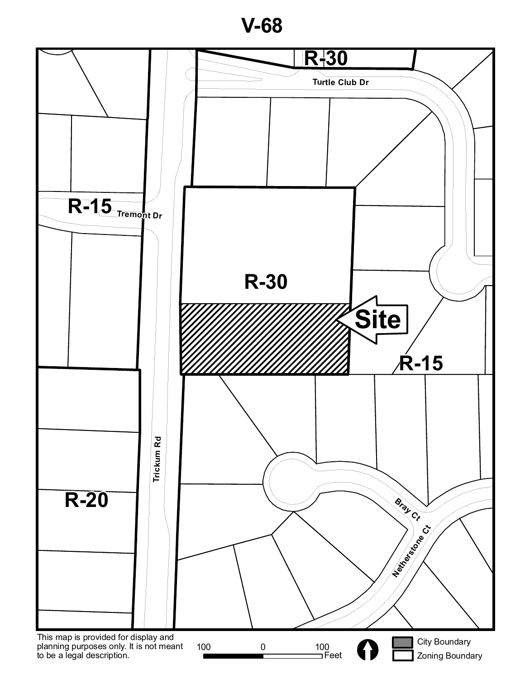**V-68**